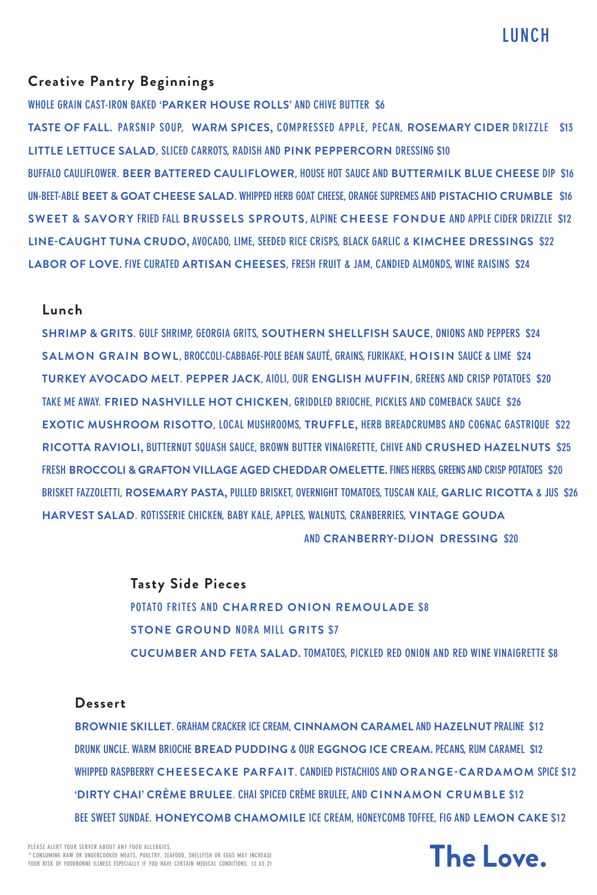**LUNCH**

# **Creative Pantry Beginnings**

**WHOLE GRAIN CAST-IRON BAKED 'PARKER HOUSE ROLLS' AND CHIVE BUTTER \$6**

**TASTE OF FALL. PARSNIP SOUP, WARM SPICES, COMPRESSED APPLE, PECAN, ROSEMARY CIDER DRIZZLE \$13 LITTLE LETTUCE SALAD, SLICED CARROTS, RADISH AND PINK PEPPERCORN DRESSING \$10 BUFFALO CAULIFLOWER. BEER BATTERED CAULIFLOWER, HOUSE HOT SAUCE AND BUTTERMILK BLUE CHEESE DIP \$16 UN-BEET-ABLE BEET & GOAT CHEESE SALAD. WHIPPED HERB GOAT CHEESE, ORANGE SUPREMES AND PISTACHIO CRUMBLE \$16 SWEET & SAVORY FRIED FALL BRUSSELS SPROUTS, ALPINE CHEESE FONDUE AND APPLE CIDER DRIZZLE \$12 LINE-CAUGHT TUNA CRUDO, AVOCADO, LIME, SEEDED RICE CRISPS, BLACK GARLIC & KIMCHEE DRESSINGS \$22 LABOR OF LOVE. FIVE CURATED ARTISAN CHEESES, FRESH FRUIT & JAM, CANDIED ALMONDS, WINE RAISINS \$24**

#### **Lunch**

**SHRIMP & GRITS. GULF SHRIMP, GEORGIA GRITS, SOUTHERN SHELLFISH SAUCE, ONIONS AND PEPPERS \$24 SALMON GRAIN BOWL, BROCCOLI-CABBAGE-POLE BEAN SAUTÉ, GRAINS, FURIKAKE, HOISIN SAUCE & LIME \$24 TURKEY AVOCADO MELT. PEPPER JACK, AIOLI, OUR ENGLISH MUFFIN, GREENS AND CRISP POTATOES \$20 TAKE ME AWAY. FRIED NASHVILLE HOT CHICKEN, GRIDDLED BRIOCHE, PICKLES AND COMEBACK SAUCE \$26 EXOTIC MUSHROOM RISOTTO, LOCAL MUSHROOMS, TRUFFLE, HERB BREADCRUMBS AND COGNAC GASTRIQUE \$22 RICOTTA RAVIOLI, BUTTERNUT SQUASH SAUCE, BROWN BUTTER VINAIGRETTE, CHIVE AND CRUSHED HAZELNUTS \$25 FRESH BROCCOLI & GRAFTON VILLAGE AGED CHEDDAR OMELETTE. FINES HERBS, GREENS AND CRISP POTATOES \$20 BRISKET FAZZOLETTI, ROSEMARY PASTA, PULLED BRISKET, OVERNIGHT TOMATOES, TUSCAN KALE, GARLIC RICOTTA & JUS \$26 HARVEST SALAD. ROTISSERIE CHICKEN, BABY KALE, APPLES, WALNUTS, CRANBERRIES, VINTAGE GOUDA AND CRANBERRY-DIJON DRESSING \$20**

> **Tasty Side Pieces POTATO FRITES AND CHARRED ONION REMOULADE \$8 STONE GROUND NORA MILL GRITS \$7**

**CUCUMBER AND FETA SALAD. TOMATOES, PICKLED RED ONION AND RED WINE VINAIGRETTE \$8**

#### **Dessert**

**BROWNIE SKILLET. GRAHAM CRACKER ICE CREAM, CINNAMON CARAMEL AND HAZELNUT PRALINE \$12 DRUNK UNCLE. WARM BRIOCHE BREAD PUDDING & OUR EGGNOG ICE CREAM. PECANS, RUM CARAMEL \$12 WHIPPED RASPBERRY CHEESECAKE PARFAIT. CANDIED PISTACHIOS AND ORANGE-CARDAMOM SPICE \$12 'DIRTY CHAI' CRÈME BRULEE. CHAI SPICED CRÈME BRULEE, AND CINNAMON CRUMBLE \$12 BEE SWEET SUNDAE. HONEYCOMB CHAMOMILE ICE CREAM, HONEYCOMB TOFFEE, FIG AND LEMON CAKE \$12**